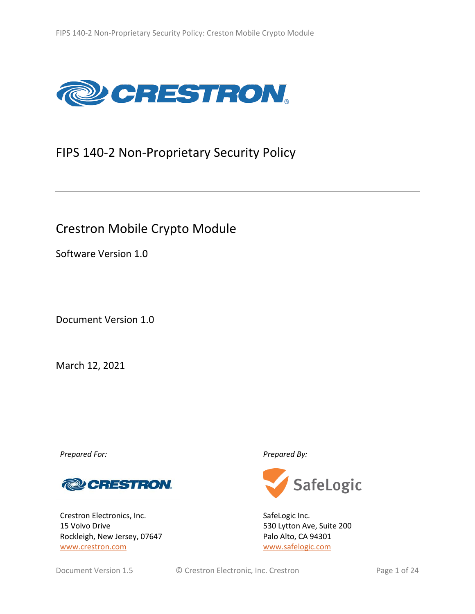

# FIPS 140-2 Non-Proprietary Security Policy

# Crestron Mobile Crypto Module

Software Version 1.0

Document Version 1.0

March 12, 2021

*Prepared For: Prepared By:*



Crestron Electronics, Inc. 15 Volvo Drive Rockleigh, New Jersey, 07647 [www.crestron.com](http://www.crestron.com/)



SafeLogic Inc. 530 Lytton Ave, Suite 200 Palo Alto, CA 94301 [www.safelogic.com](http://www.safelogic.com/)

Document Version 1.5 **C** Crestron Electronic, Inc. Crestron **Page 1** of 24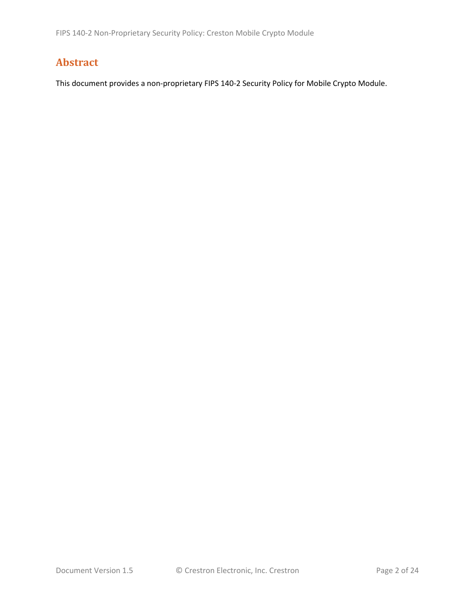# **Abstract**

This document provides a non-proprietary FIPS 140-2 Security Policy for Mobile Crypto Module.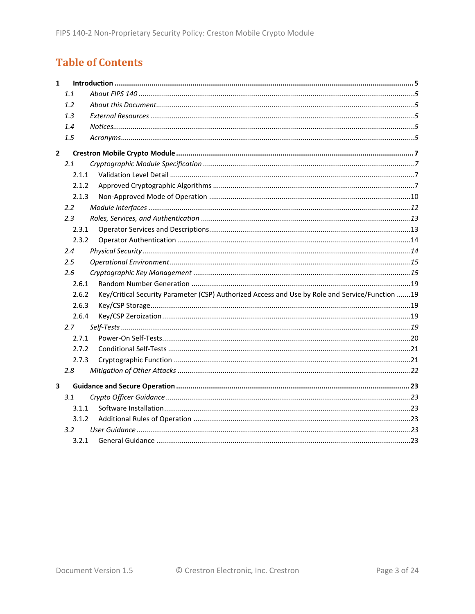# **Table of Contents**

| $\mathbf{1}$ |         |                                                                                                 |  |
|--------------|---------|-------------------------------------------------------------------------------------------------|--|
|              | 1.1     |                                                                                                 |  |
|              | 1.2     |                                                                                                 |  |
|              | 1.3     |                                                                                                 |  |
|              | 1.4     |                                                                                                 |  |
|              | 1.5     |                                                                                                 |  |
| $\mathbf{2}$ |         |                                                                                                 |  |
|              | 2.1     |                                                                                                 |  |
|              | 2.1.1   |                                                                                                 |  |
|              | 2.1.2   |                                                                                                 |  |
|              | 2.1.3   |                                                                                                 |  |
|              | 2.2     |                                                                                                 |  |
|              | 2.3     |                                                                                                 |  |
|              | 2.3.1   |                                                                                                 |  |
|              | 2.3.2   |                                                                                                 |  |
|              | 2.4     |                                                                                                 |  |
|              | $2.5\,$ |                                                                                                 |  |
|              | 2.6     |                                                                                                 |  |
|              | 2.6.1   |                                                                                                 |  |
|              | 2.6.2   | Key/Critical Security Parameter (CSP) Authorized Access and Use by Role and Service/Function 19 |  |
|              | 2.6.3   |                                                                                                 |  |
|              | 2.6.4   |                                                                                                 |  |
|              | 2.7     |                                                                                                 |  |
|              | 2.7.1   |                                                                                                 |  |
|              | 2.7.2   |                                                                                                 |  |
|              | 2.7.3   |                                                                                                 |  |
|              | 2.8     |                                                                                                 |  |
| 3            |         |                                                                                                 |  |
|              | 3.1     |                                                                                                 |  |
|              | 3.1.1   |                                                                                                 |  |
|              | 3.1.2   |                                                                                                 |  |
|              | 3.2     |                                                                                                 |  |
|              | 3.2.1   |                                                                                                 |  |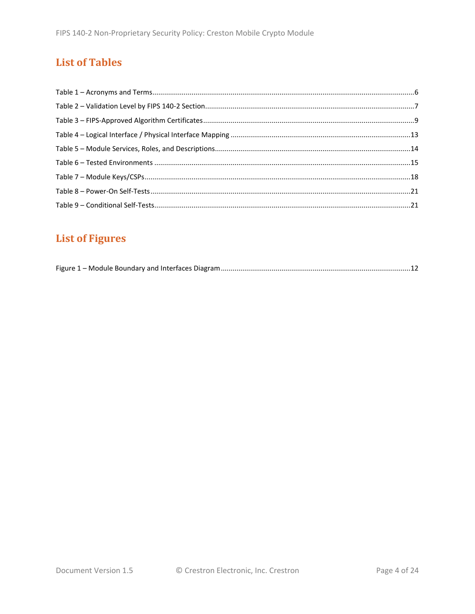# **List of Tables**

# **List of Figures**

|--|--|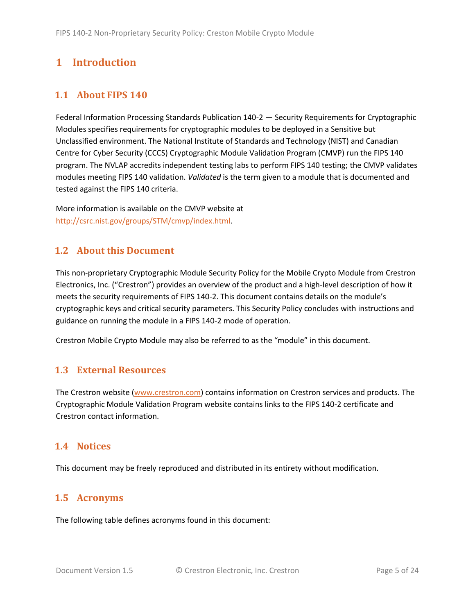# <span id="page-4-0"></span>**1 Introduction**

# <span id="page-4-1"></span>**1.1 About FIPS 140**

Federal Information Processing Standards Publication 140-2 — Security Requirements for Cryptographic Modules specifies requirements for cryptographic modules to be deployed in a Sensitive but Unclassified environment. The National Institute of Standards and Technology (NIST) and Canadian Centre for Cyber Security (CCCS) Cryptographic Module Validation Program (CMVP) run the FIPS 140 program. The NVLAP accredits independent testing labs to perform FIPS 140 testing; the CMVP validates modules meeting FIPS 140 validation. *Validated* is the term given to a module that is documented and tested against the FIPS 140 criteria.

More information is available on the CMVP website at [http://csrc.nist.gov/groups/STM/cmvp/index.html.](http://csrc.nist.gov/groups/STM/cmvp/index.html)

## <span id="page-4-2"></span>**1.2 About this Document**

This non-proprietary Cryptographic Module Security Policy for the Mobile Crypto Module from Crestron Electronics, Inc. ("Crestron") provides an overview of the product and a high-level description of how it meets the security requirements of FIPS 140-2. This document contains details on the module's cryptographic keys and critical security parameters. This Security Policy concludes with instructions and guidance on running the module in a FIPS 140-2 mode of operation.

Crestron Mobile Crypto Module may also be referred to as the "module" in this document.

## <span id="page-4-3"></span>**1.3 External Resources**

The Crestron website [\(www.crestron.com\)](http://www.crestron.com/) contains information on Crestron services and products. The Cryptographic Module Validation Program website contains links to the FIPS 140-2 certificate and Crestron contact information.

### <span id="page-4-4"></span>**1.4 Notices**

This document may be freely reproduced and distributed in its entirety without modification.

## <span id="page-4-5"></span>**1.5 Acronyms**

The following table defines acronyms found in this document: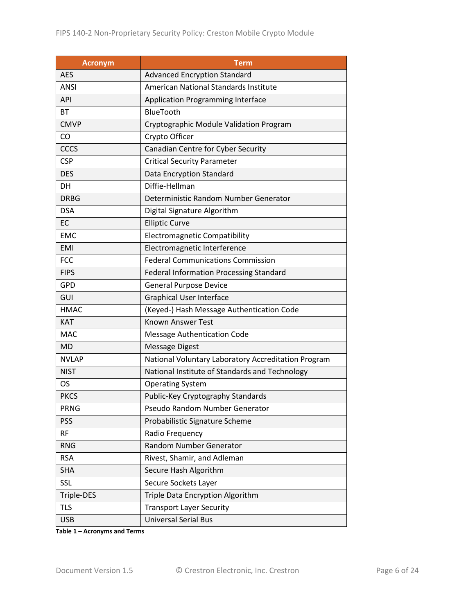| <b>Acronym</b> | <b>Term</b>                                         |  |
|----------------|-----------------------------------------------------|--|
| <b>AES</b>     | <b>Advanced Encryption Standard</b>                 |  |
| <b>ANSI</b>    | American National Standards Institute               |  |
| <b>API</b>     | Application Programming Interface                   |  |
| BT             | <b>BlueTooth</b>                                    |  |
| <b>CMVP</b>    | Cryptographic Module Validation Program             |  |
| CO             | Crypto Officer                                      |  |
| <b>CCCS</b>    | Canadian Centre for Cyber Security                  |  |
| <b>CSP</b>     | <b>Critical Security Parameter</b>                  |  |
| <b>DES</b>     | Data Encryption Standard                            |  |
| DH             | Diffie-Hellman                                      |  |
| <b>DRBG</b>    | Deterministic Random Number Generator               |  |
| <b>DSA</b>     | Digital Signature Algorithm                         |  |
| EC             | <b>Elliptic Curve</b>                               |  |
| <b>EMC</b>     | <b>Electromagnetic Compatibility</b>                |  |
| <b>EMI</b>     | Electromagnetic Interference                        |  |
| <b>FCC</b>     | <b>Federal Communications Commission</b>            |  |
| <b>FIPS</b>    | <b>Federal Information Processing Standard</b>      |  |
| <b>GPD</b>     | <b>General Purpose Device</b>                       |  |
| GUI            | <b>Graphical User Interface</b>                     |  |
| <b>HMAC</b>    | (Keyed-) Hash Message Authentication Code           |  |
| <b>KAT</b>     | <b>Known Answer Test</b>                            |  |
| <b>MAC</b>     | <b>Message Authentication Code</b>                  |  |
| <b>MD</b>      | <b>Message Digest</b>                               |  |
| <b>NVLAP</b>   | National Voluntary Laboratory Accreditation Program |  |
| <b>NIST</b>    | National Institute of Standards and Technology      |  |
| <b>OS</b>      | <b>Operating System</b>                             |  |
| <b>PKCS</b>    | Public-Key Cryptography Standards                   |  |
| <b>PRNG</b>    | Pseudo Random Number Generator                      |  |
| <b>PSS</b>     | Probabilistic Signature Scheme                      |  |
| <b>RF</b>      | Radio Frequency                                     |  |
| <b>RNG</b>     | Random Number Generator                             |  |
| <b>RSA</b>     | Rivest, Shamir, and Adleman                         |  |
| <b>SHA</b>     | Secure Hash Algorithm                               |  |
| <b>SSL</b>     | Secure Sockets Layer                                |  |
| Triple-DES     | Triple Data Encryption Algorithm                    |  |
| <b>TLS</b>     | <b>Transport Layer Security</b>                     |  |
| <b>USB</b>     | <b>Universal Serial Bus</b>                         |  |

**Table 1 – Acronyms and Terms**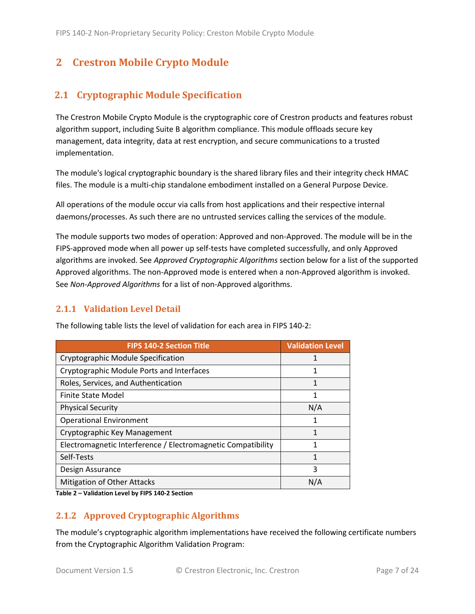# <span id="page-6-0"></span>**2 Crestron Mobile Crypto Module**

# <span id="page-6-1"></span>**2.1 Cryptographic Module Specification**

The Crestron Mobile Crypto Module is the cryptographic core of Crestron products and features robust algorithm support, including Suite B algorithm compliance. This module offloads secure key management, data integrity, data at rest encryption, and secure communications to a trusted implementation.

The module's logical cryptographic boundary is the shared library files and their integrity check HMAC files. The module is a multi-chip standalone embodiment installed on a General Purpose Device.

All operations of the module occur via calls from host applications and their respective internal daemons/processes. As such there are no untrusted services calling the services of the module.

The module supports two modes of operation: Approved and non-Approved. The module will be in the FIPS-approved mode when all power up self-tests have completed successfully, and only Approved algorithms are invoked. See *Approved Cryptographic Algorithms* section below for a list of the supported Approved algorithms. The non-Approved mode is entered when a non-Approved algorithm is invoked. See *Non-Approved Algorithms* for a list of non-Approved algorithms.

## <span id="page-6-2"></span>**2.1.1 Validation Level Detail**

| <b>FIPS 140-2 Section Title</b>                              | <b>Validation Level</b> |
|--------------------------------------------------------------|-------------------------|
| Cryptographic Module Specification                           |                         |
| Cryptographic Module Ports and Interfaces                    | 1                       |
| Roles, Services, and Authentication                          | 1                       |
| Finite State Model                                           | 1                       |
| <b>Physical Security</b>                                     | N/A                     |
| <b>Operational Environment</b>                               | 1                       |
| Cryptographic Key Management                                 | 1                       |
| Electromagnetic Interference / Electromagnetic Compatibility | 1                       |
| Self-Tests                                                   | 1                       |
| Design Assurance                                             | 3                       |
| Mitigation of Other Attacks                                  | N/A                     |

The following table lists the level of validation for each area in FIPS 140-2:

**Table 2 – Validation Level by FIPS 140-2 Section**

## <span id="page-6-3"></span>**2.1.2 Approved Cryptographic Algorithms**

The module's cryptographic algorithm implementations have received the following certificate numbers from the Cryptographic Algorithm Validation Program: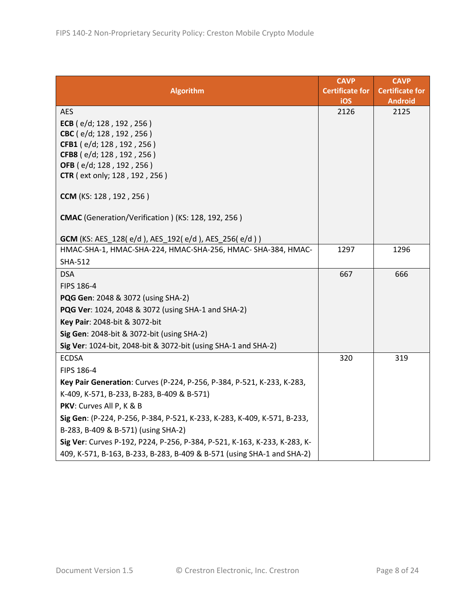| <b>Algorithm</b>                                                          | <b>CAVP</b><br><b>Certificate for</b><br>iOS | <b>CAVP</b><br><b>Certificate for</b><br><b>Android</b> |
|---------------------------------------------------------------------------|----------------------------------------------|---------------------------------------------------------|
| <b>AES</b>                                                                | 2126                                         | 2125                                                    |
| ECB $(e/d; 128, 192, 256)$                                                |                                              |                                                         |
| CBC (e/d; 128, 192, 256)                                                  |                                              |                                                         |
| CFB1 (e/d; 128, 192, 256)                                                 |                                              |                                                         |
| CFB8 (e/d; 128, 192, 256)                                                 |                                              |                                                         |
| OFB (e/d; 128, 192, 256)<br><b>CTR</b> ( ext only; 128, 192, 256)         |                                              |                                                         |
|                                                                           |                                              |                                                         |
| CCM (KS: 128, 192, 256)                                                   |                                              |                                                         |
| CMAC (Generation/Verification) (KS: 128, 192, 256)                        |                                              |                                                         |
| <b>GCM</b> (KS: AES_128(e/d), AES_192(e/d), AES_256(e/d))                 |                                              |                                                         |
| HMAC-SHA-1, HMAC-SHA-224, HMAC-SHA-256, HMAC-SHA-384, HMAC-               | 1297                                         | 1296                                                    |
| <b>SHA-512</b>                                                            |                                              |                                                         |
| <b>DSA</b>                                                                | 667                                          | 666                                                     |
| FIPS 186-4                                                                |                                              |                                                         |
| PQG Gen: 2048 & 3072 (using SHA-2)                                        |                                              |                                                         |
| PQG Ver: 1024, 2048 & 3072 (using SHA-1 and SHA-2)                        |                                              |                                                         |
| Key Pair: 2048-bit & 3072-bit                                             |                                              |                                                         |
| Sig Gen: 2048-bit & 3072-bit (using SHA-2)                                |                                              |                                                         |
| Sig Ver: 1024-bit, 2048-bit & 3072-bit (using SHA-1 and SHA-2)            |                                              |                                                         |
| <b>ECDSA</b>                                                              | 320                                          | 319                                                     |
| FIPS 186-4                                                                |                                              |                                                         |
| Key Pair Generation: Curves (P-224, P-256, P-384, P-521, K-233, K-283,    |                                              |                                                         |
| K-409, K-571, B-233, B-283, B-409 & B-571)                                |                                              |                                                         |
| PKV: Curves All P, K & B                                                  |                                              |                                                         |
| Sig Gen: (P-224, P-256, P-384, P-521, K-233, K-283, K-409, K-571, B-233,  |                                              |                                                         |
| B-283, B-409 & B-571) (using SHA-2)                                       |                                              |                                                         |
| Sig Ver: Curves P-192, P224, P-256, P-384, P-521, K-163, K-233, K-283, K- |                                              |                                                         |
| 409, K-571, B-163, B-233, B-283, B-409 & B-571 (using SHA-1 and SHA-2)    |                                              |                                                         |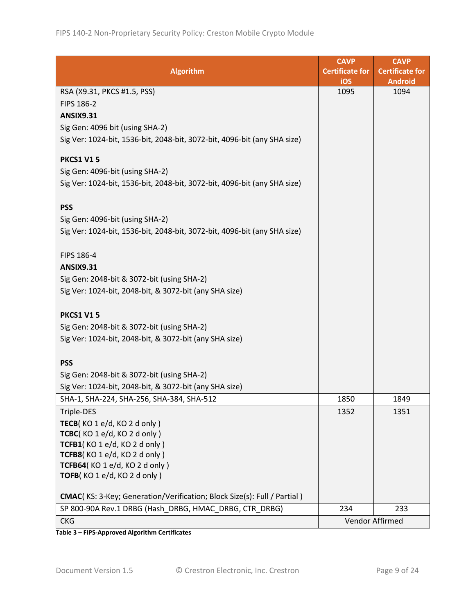|                                                                          | <b>CAVP</b>            | <b>CAVP</b>            |
|--------------------------------------------------------------------------|------------------------|------------------------|
| <b>Algorithm</b>                                                         | <b>Certificate for</b> | <b>Certificate for</b> |
|                                                                          | iOS                    | <b>Android</b>         |
| RSA (X9.31, PKCS #1.5, PSS)                                              | 1095                   | 1094                   |
| FIPS 186-2                                                               |                        |                        |
| <b>ANSIX9.31</b>                                                         |                        |                        |
| Sig Gen: 4096 bit (using SHA-2)                                          |                        |                        |
| Sig Ver: 1024-bit, 1536-bit, 2048-bit, 3072-bit, 4096-bit (any SHA size) |                        |                        |
| <b>PKCS1 V15</b>                                                         |                        |                        |
| Sig Gen: 4096-bit (using SHA-2)                                          |                        |                        |
| Sig Ver: 1024-bit, 1536-bit, 2048-bit, 3072-bit, 4096-bit (any SHA size) |                        |                        |
|                                                                          |                        |                        |
| <b>PSS</b>                                                               |                        |                        |
| Sig Gen: 4096-bit (using SHA-2)                                          |                        |                        |
| Sig Ver: 1024-bit, 1536-bit, 2048-bit, 3072-bit, 4096-bit (any SHA size) |                        |                        |
|                                                                          |                        |                        |
| FIPS 186-4                                                               |                        |                        |
| <b>ANSIX9.31</b>                                                         |                        |                        |
| Sig Gen: 2048-bit & 3072-bit (using SHA-2)                               |                        |                        |
| Sig Ver: 1024-bit, 2048-bit, & 3072-bit (any SHA size)                   |                        |                        |
|                                                                          |                        |                        |
| <b>PKCS1 V15</b>                                                         |                        |                        |
| Sig Gen: 2048-bit & 3072-bit (using SHA-2)                               |                        |                        |
| Sig Ver: 1024-bit, 2048-bit, & 3072-bit (any SHA size)                   |                        |                        |
|                                                                          |                        |                        |
| <b>PSS</b>                                                               |                        |                        |
| Sig Gen: 2048-bit & 3072-bit (using SHA-2)                               |                        |                        |
| Sig Ver: 1024-bit, 2048-bit, & 3072-bit (any SHA size)                   |                        |                        |
| SHA-1, SHA-224, SHA-256, SHA-384, SHA-512                                | 1850                   | 1849                   |
| Triple-DES                                                               | 1352                   | 1351                   |
| TECB(KO 1 e/d, KO 2 d only)                                              |                        |                        |
| TCBC(KO1e/d, KO2donly)                                                   |                        |                        |
| TCFB1(KO1e/d, KO2d only)                                                 |                        |                        |
| TCFB8(KO1e/d, KO2d only)                                                 |                        |                        |
| TCFB64(KO1e/d, KO2d only)<br>TOFB(KO1e/d, KO2d only)                     |                        |                        |
|                                                                          |                        |                        |
| CMAC(KS: 3-Key; Generation/Verification; Block Size(s): Full / Partial)  |                        |                        |
| SP 800-90A Rev.1 DRBG (Hash_DRBG, HMAC_DRBG, CTR_DRBG)                   | 234                    | 233                    |
| <b>CKG</b>                                                               |                        | Vendor Affirmed        |

**Table 3 – FIPS-Approved Algorithm Certificates**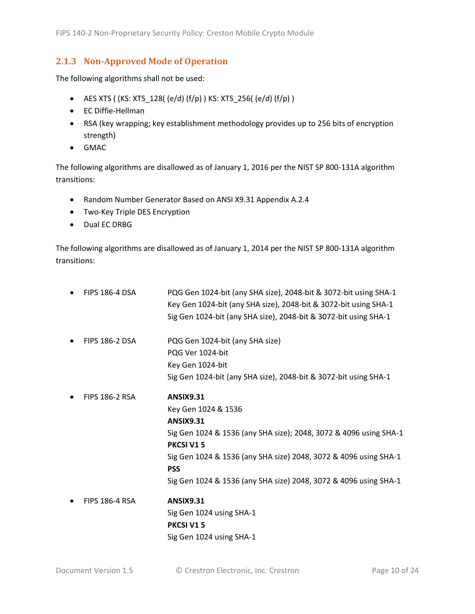### <span id="page-9-0"></span>**2.1.3 Non-Approved Mode of Operation**

The following algorithms shall not be used:

- AES XTS ( (KS: XTS  $128$ ( (e/d) (f/p) ) KS: XTS  $256$ ( (e/d) (f/p) )
- EC Diffie-Hellman
- RSA (key wrapping; key establishment methodology provides up to 256 bits of encryption strength)
- GMAC

The following algorithms are disallowed as of January 1, 2016 per the NIST SP 800-131A algorithm transitions:

- Random Number Generator Based on ANSI X9.31 Appendix A.2.4
- Two-Key Triple DES Encryption
- Dual EC DRBG

The following algorithms are disallowed as of January 1, 2014 per the NIST SP 800-131A algorithm transitions:

| <b>FIPS 186-4 DSA</b> | PQG Gen 1024-bit (any SHA size), 2048-bit & 3072-bit using SHA-1<br>Key Gen 1024-bit (any SHA size), 2048-bit & 3072-bit using SHA-1 |
|-----------------------|--------------------------------------------------------------------------------------------------------------------------------------|
|                       | Sig Gen 1024-bit (any SHA size), 2048-bit & 3072-bit using SHA-1                                                                     |
| <b>FIPS 186-2 DSA</b> | PQG Gen 1024-bit (any SHA size)                                                                                                      |
|                       | PQG Ver 1024-bit                                                                                                                     |
|                       | Key Gen 1024-bit                                                                                                                     |
|                       | Sig Gen 1024-bit (any SHA size), 2048-bit & 3072-bit using SHA-1                                                                     |
| <b>FIPS 186-2 RSA</b> | <b>ANSIX9.31</b>                                                                                                                     |
|                       | Key Gen 1024 & 1536                                                                                                                  |
|                       | <b>ANSIX9.31</b>                                                                                                                     |
|                       | Sig Gen 1024 & 1536 (any SHA size); 2048, 3072 & 4096 using SHA-1                                                                    |
|                       | <b>PKCSI V15</b>                                                                                                                     |
|                       | Sig Gen 1024 & 1536 (any SHA size) 2048, 3072 & 4096 using SHA-1<br><b>PSS</b>                                                       |
|                       | Sig Gen 1024 & 1536 (any SHA size) 2048, 3072 & 4096 using SHA-1                                                                     |
| <b>FIPS 186-4 RSA</b> | <b>ANSIX9.31</b>                                                                                                                     |
|                       | Sig Gen 1024 using SHA-1                                                                                                             |
|                       | <b>PKCSI V15</b>                                                                                                                     |
|                       | Sig Gen 1024 using SHA-1                                                                                                             |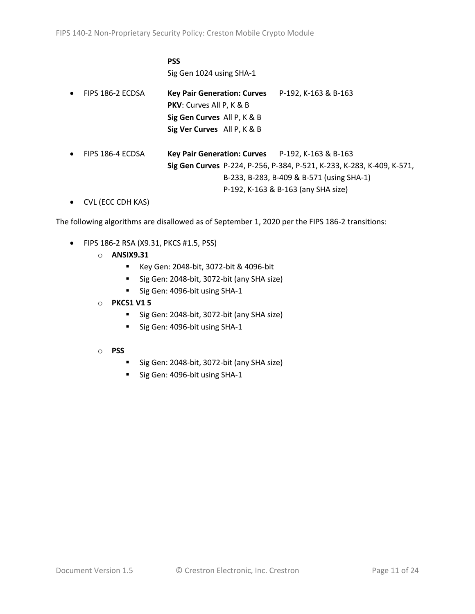**PSS**

Sig Gen 1024 using SHA-1

- FIPS 186-2 ECDSA **Key Pair Generation: Curves** P-192, K-163 & B-163 **PKV**: Curves All P, K & B **Sig Gen Curves** All P, K & B **Sig Ver Curves** All P, K & B
- FIPS 186-4 ECDSA **Key Pair Generation: Curves** P-192, K-163 & B-163 **Sig Gen Curves** P-224, P-256, P-384, P-521, K-233, K-283, K-409, K-571, B-233, B-283, B-409 & B-571 (using SHA-1) P-192, K-163 & B-163 (any SHA size)
- CVL (ECC CDH KAS)

The following algorithms are disallowed as of September 1, 2020 per the FIPS 186-2 transitions:

- FIPS 186-2 RSA (X9.31, PKCS #1.5, PSS)
	- o **ANSIX9.31**
		- Key Gen: 2048-bit, 3072-bit & 4096-bit
		- Sig Gen: 2048-bit, 3072-bit (any SHA size)
		- Sig Gen: 4096-bit using SHA-1
	- o **PKCS1 V1 5**
		- Sig Gen: 2048-bit, 3072-bit (any SHA size)
		- Sig Gen: 4096-bit using SHA-1
	- o **PSS**
		- Sig Gen: 2048-bit, 3072-bit (any SHA size)
		- Sig Gen: 4096-bit using SHA-1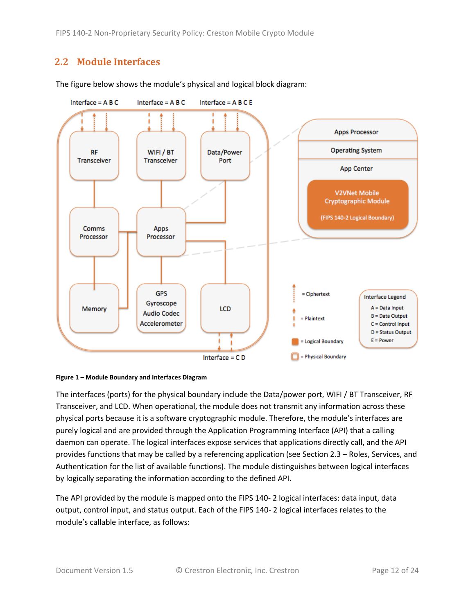FIPS 140-2 Non-Proprietary Security Policy: Creston Mobile Crypto Module

# <span id="page-11-0"></span>**2.2 Module Interfaces**



The figure below shows the module's physical and logical block diagram:

<span id="page-11-1"></span>

The interfaces (ports) for the physical boundary include the Data/power port, WIFI / BT Transceiver, RF Transceiver, and LCD. When operational, the module does not transmit any information across these physical ports because it is a software cryptographic module. Therefore, the module's interfaces are purely logical and are provided through the Application Programming Interface (API) that a calling daemon can operate. The logical interfaces expose services that applications directly call, and the API provides functions that may be called by a referencing application (see Sectio[n 2.3](#page-12-0) – [Roles, Services, and](#page-12-0)  [Authentication](#page-12-0) for the list of available functions). The module distinguishes between logical interfaces by logically separating the information according to the defined API.

The API provided by the module is mapped onto the FIPS 140- 2 logical interfaces: data input, data output, control input, and status output. Each of the FIPS 140- 2 logical interfaces relates to the module's callable interface, as follows: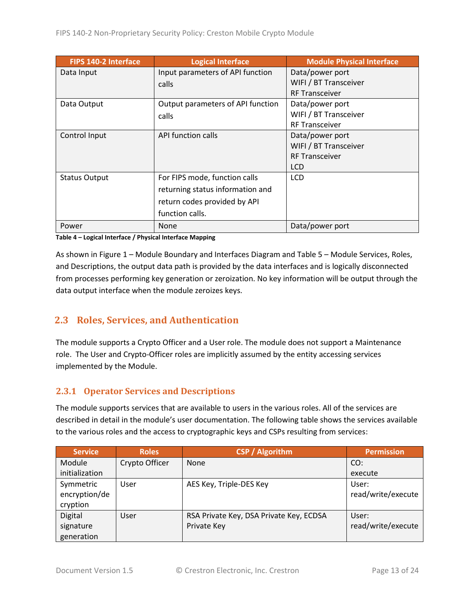| FIPS 140-2 Interface | <b>Logical Interface</b>          | <b>Module Physical Interface</b> |
|----------------------|-----------------------------------|----------------------------------|
| Data Input           | Input parameters of API function  | Data/power port                  |
|                      | calls                             | WIFI / BT Transceiver            |
|                      |                                   | <b>RF Transceiver</b>            |
| Data Output          | Output parameters of API function | Data/power port                  |
|                      | calls                             | WIFI / BT Transceiver            |
|                      |                                   | <b>RF Transceiver</b>            |
| Control Input        | API function calls                | Data/power port                  |
|                      |                                   | WIFI / BT Transceiver            |
|                      |                                   | <b>RF Transceiver</b>            |
|                      |                                   | <b>LCD</b>                       |
| <b>Status Output</b> | For FIPS mode, function calls     | <b>LCD</b>                       |
|                      | returning status information and  |                                  |
|                      | return codes provided by API      |                                  |
|                      | function calls.                   |                                  |
| Power                | <b>None</b>                       | Data/power port                  |

**Table 4 – Logical Interface / Physical Interface Mapping**

As shown in Figure 1 – [Module Boundary and Interfaces Diagram](#page-11-1) and Table 5 – Module [Services, Roles,](#page-13-2) [and Descriptions,](#page-13-2) the output data path is provided by the data interfaces and is logically disconnected from processes performing key generation or zeroization. No key information will be output through the data output interface when the module zeroizes keys.

# <span id="page-12-0"></span>**2.3 Roles, Services, and Authentication**

The module supports a Crypto Officer and a User role. The module does not support a Maintenance role. The User and Crypto-Officer roles are implicitly assumed by the entity accessing services implemented by the Module.

## <span id="page-12-1"></span>**2.3.1 Operator Services and Descriptions**

The module supports services that are available to users in the various roles. All of the services are described in detail in the module's user documentation. The following table shows the services available to the various roles and the access to cryptographic keys and CSPs resulting from services:

| <b>Service</b> | <b>Roles</b>   | <b>CSP</b> / Algorithm                  | <b>Permission</b>  |
|----------------|----------------|-----------------------------------------|--------------------|
| Module         | Crypto Officer | None                                    | CO:                |
| initialization |                |                                         | execute            |
| Symmetric      | User           | AES Key, Triple-DES Key                 | User:              |
| encryption/de  |                |                                         | read/write/execute |
| cryption       |                |                                         |                    |
| Digital        | <b>User</b>    | RSA Private Key, DSA Private Key, ECDSA | User:              |
| signature      |                | Private Key                             | read/write/execute |
| generation     |                |                                         |                    |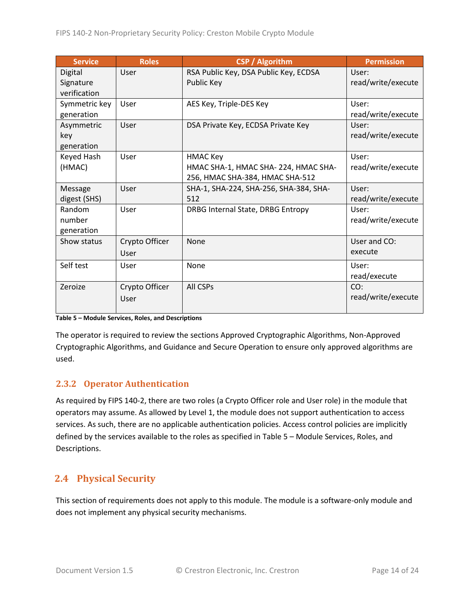| <b>Service</b> | <b>Roles</b>   | <b>CSP / Algorithm</b>                 | <b>Permission</b>  |
|----------------|----------------|----------------------------------------|--------------------|
| Digital        | User           | RSA Public Key, DSA Public Key, ECDSA  | User:              |
| Signature      |                | Public Key                             | read/write/execute |
| verification   |                |                                        |                    |
| Symmetric key  | User           | AES Key, Triple-DES Key                | User:              |
| generation     |                |                                        | read/write/execute |
| Asymmetric     | User           | DSA Private Key, ECDSA Private Key     | User:              |
| key            |                |                                        | read/write/execute |
| generation     |                |                                        |                    |
| Keyed Hash     | User           | <b>HMAC Key</b>                        | User:              |
| (HMAC)         |                | HMAC SHA-1, HMAC SHA-224, HMAC SHA-    | read/write/execute |
|                |                | 256, HMAC SHA-384, HMAC SHA-512        |                    |
| Message        | User           | SHA-1, SHA-224, SHA-256, SHA-384, SHA- | User:              |
| digest (SHS)   |                | 512                                    | read/write/execute |
| Random         | User           | DRBG Internal State, DRBG Entropy      | User:              |
| number         |                |                                        | read/write/execute |
| generation     |                |                                        |                    |
| Show status    | Crypto Officer | <b>None</b>                            | User and CO:       |
|                | User           |                                        | execute            |
| Self test      | User           | None                                   | User:              |
|                |                |                                        | read/execute       |
| Zeroize        | Crypto Officer | All CSPs                               | CO:                |
|                | User           |                                        | read/write/execute |
|                |                |                                        |                    |

#### <span id="page-13-2"></span>**Table 5 – Module Services, Roles, and Descriptions**

The operator is required to review the sections Approved Cryptographic Algorithms, Non-Approved Cryptographic Algorithms, and Guidance and Secure Operation to ensure only approved algorithms are used.

## <span id="page-13-0"></span>**2.3.2 Operator Authentication**

As required by FIPS 140-2, there are two roles (a Crypto Officer role and User role) in the module that operators may assume. As allowed by Level 1, the module does not support authentication to access services. As such, there are no applicable authentication policies. Access control policies are implicitly defined by the services available to the roles as specified in Table 5 – Module [Services, Roles,](#page-13-2) and [Descriptions.](#page-13-2)

# <span id="page-13-1"></span>**2.4 Physical Security**

This section of requirements does not apply to this module. The module is a software-only module and does not implement any physical security mechanisms.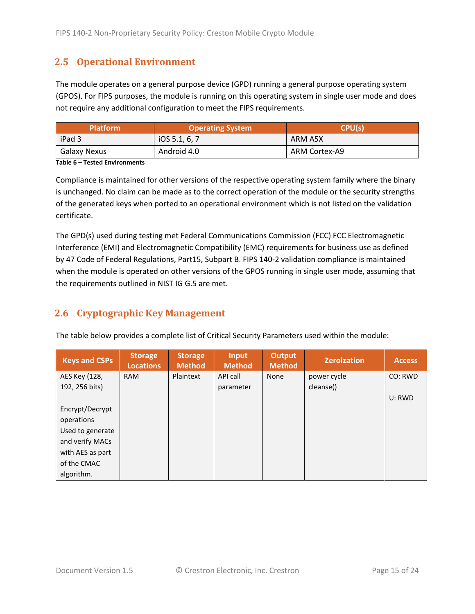# <span id="page-14-0"></span>**2.5 Operational Environment**

The module operates on a general purpose device (GPD) running a general purpose operating system (GPOS). For FIPS purposes, the module is running on this operating system in single user mode and does not require any additional configuration to meet the FIPS requirements.

| <b>Platform</b> | <b>Operating System</b> | CPU(s)        |
|-----------------|-------------------------|---------------|
| iPad 3          | 10S 5.1, 6, 7           | ARM A5X       |
| Galaxy Nexus    | Android 4.0             | ARM Cortex-A9 |

**Table 6 – Tested Environments**

Compliance is maintained for other versions of the respective operating system family where the binary is unchanged. No claim can be made as to the correct operation of the module or the security strengths of the generated keys when ported to an operational environment which is not listed on the validation certificate.

The GPD(s) used during testing met Federal Communications Commission (FCC) FCC Electromagnetic Interference (EMI) and Electromagnetic Compatibility (EMC) requirements for business use as defined by 47 Code of Federal Regulations, Part15, Subpart B. FIPS 140-2 validation compliance is maintained when the module is operated on other versions of the GPOS running in single user mode, assuming that the requirements outlined in NIST IG G.5 are met.

# <span id="page-14-1"></span>**2.6 Cryptographic Key Management**

The table below provides a complete list of Critical Security Parameters used within the module:

| <b>Keys and CSPs</b> | <b>Storage</b><br><b>Locations</b> | <b>Storage</b><br><b>Method</b> | <b>Input</b><br><b>Method</b> | <b>Output</b><br><b>Method</b> | <b>Zeroization</b> | <b>Access</b> |
|----------------------|------------------------------------|---------------------------------|-------------------------------|--------------------------------|--------------------|---------------|
| AES Key (128,        | <b>RAM</b>                         | Plaintext                       | API call                      | <b>None</b>                    | power cycle        | CO: RWD       |
| 192, 256 bits)       |                                    |                                 | parameter                     |                                | cleanse()          |               |
|                      |                                    |                                 |                               |                                |                    | U: RWD        |
| Encrypt/Decrypt      |                                    |                                 |                               |                                |                    |               |
| operations           |                                    |                                 |                               |                                |                    |               |
| Used to generate     |                                    |                                 |                               |                                |                    |               |
| and verify MACs      |                                    |                                 |                               |                                |                    |               |
| with AES as part     |                                    |                                 |                               |                                |                    |               |
| of the CMAC          |                                    |                                 |                               |                                |                    |               |
| algorithm.           |                                    |                                 |                               |                                |                    |               |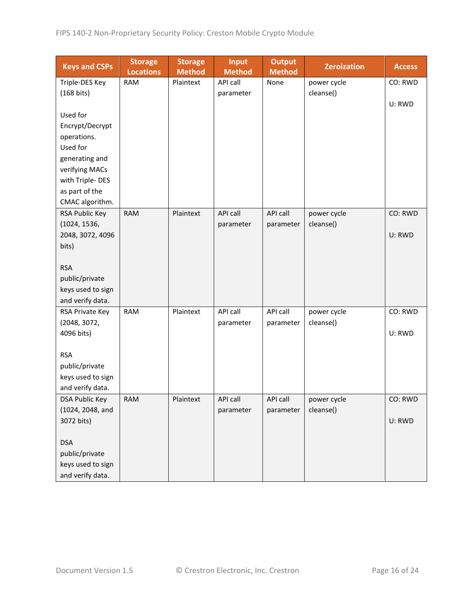| <b>Keys and CSPs</b>                  | <b>Storage</b><br><b>Locations</b> | <b>Storage</b><br><b>Method</b> | <b>Input</b><br><b>Method</b> | <b>Output</b><br><b>Method</b> | <b>Zeroization</b> | <b>Access</b> |
|---------------------------------------|------------------------------------|---------------------------------|-------------------------------|--------------------------------|--------------------|---------------|
| Triple-DES Key                        | <b>RAM</b>                         | Plaintext                       | API call                      | None                           | power cycle        | CO: RWD       |
| $(168 \text{ bits})$                  |                                    |                                 | parameter                     |                                | cleanse()          |               |
|                                       |                                    |                                 |                               |                                |                    | U: RWD        |
| Used for                              |                                    |                                 |                               |                                |                    |               |
| Encrypt/Decrypt                       |                                    |                                 |                               |                                |                    |               |
| operations.                           |                                    |                                 |                               |                                |                    |               |
| Used for                              |                                    |                                 |                               |                                |                    |               |
| generating and                        |                                    |                                 |                               |                                |                    |               |
| verifying MACs                        |                                    |                                 |                               |                                |                    |               |
| with Triple-DES                       |                                    |                                 |                               |                                |                    |               |
| as part of the                        |                                    |                                 |                               |                                |                    |               |
| CMAC algorithm.                       |                                    |                                 |                               |                                |                    |               |
| RSA Public Key                        | <b>RAM</b>                         | Plaintext                       | <b>API call</b>               | API call                       | power cycle        | CO: RWD       |
| (1024, 1536,                          |                                    |                                 | parameter                     | parameter                      | cleanse()          |               |
| 2048, 3072, 4096                      |                                    |                                 |                               |                                |                    | U: RWD        |
| bits)                                 |                                    |                                 |                               |                                |                    |               |
|                                       |                                    |                                 |                               |                                |                    |               |
| <b>RSA</b><br>public/private          |                                    |                                 |                               |                                |                    |               |
|                                       |                                    |                                 |                               |                                |                    |               |
| keys used to sign<br>and verify data. |                                    |                                 |                               |                                |                    |               |
| RSA Private Key                       | <b>RAM</b>                         | Plaintext                       | API call                      | API call                       | power cycle        | CO: RWD       |
| (2048, 3072,                          |                                    |                                 | parameter                     | parameter                      | cleanse()          |               |
| 4096 bits)                            |                                    |                                 |                               |                                |                    | U: RWD        |
|                                       |                                    |                                 |                               |                                |                    |               |
| <b>RSA</b>                            |                                    |                                 |                               |                                |                    |               |
| public/private                        |                                    |                                 |                               |                                |                    |               |
| keys used to sign                     |                                    |                                 |                               |                                |                    |               |
| and verify data.                      |                                    |                                 |                               |                                |                    |               |
| <b>DSA Public Key</b>                 | <b>RAM</b>                         | Plaintext                       | API call                      | API call                       | power cycle        | CO: RWD       |
| (1024, 2048, and                      |                                    |                                 | parameter                     | parameter                      | cleanse()          |               |
| 3072 bits)                            |                                    |                                 |                               |                                |                    | U: RWD        |
|                                       |                                    |                                 |                               |                                |                    |               |
| <b>DSA</b>                            |                                    |                                 |                               |                                |                    |               |
| public/private                        |                                    |                                 |                               |                                |                    |               |
| keys used to sign                     |                                    |                                 |                               |                                |                    |               |
| and verify data.                      |                                    |                                 |                               |                                |                    |               |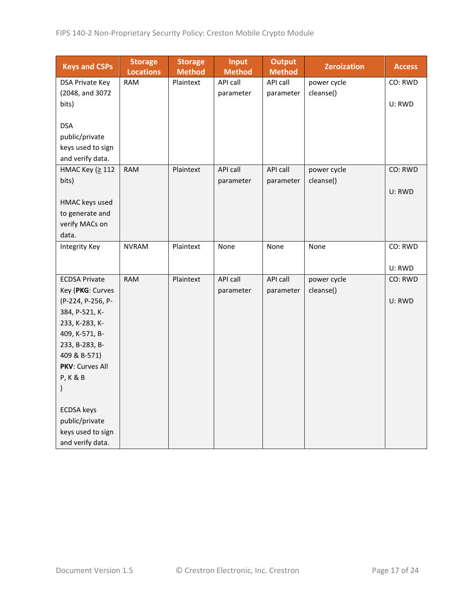| <b>Keys and CSPs</b> | <b>Storage</b><br><b>Locations</b> | <b>Storage</b><br><b>Method</b> | Input<br><b>Method</b> | <b>Output</b><br><b>Method</b> | <b>Zeroization</b> | <b>Access</b> |
|----------------------|------------------------------------|---------------------------------|------------------------|--------------------------------|--------------------|---------------|
| DSA Private Key      | <b>RAM</b>                         | Plaintext                       | API call               | API call                       | power cycle        | CO: RWD       |
| (2048, and 3072      |                                    |                                 | parameter              | parameter                      | cleanse()          |               |
| bits)                |                                    |                                 |                        |                                |                    | U: RWD        |
|                      |                                    |                                 |                        |                                |                    |               |
| <b>DSA</b>           |                                    |                                 |                        |                                |                    |               |
| public/private       |                                    |                                 |                        |                                |                    |               |
| keys used to sign    |                                    |                                 |                        |                                |                    |               |
| and verify data.     |                                    |                                 |                        |                                |                    |               |
| НМАС Кеу (≥ 112      | <b>RAM</b>                         | Plaintext                       | API call               | <b>API call</b>                | power cycle        | CO: RWD       |
| bits)                |                                    |                                 | parameter              | parameter                      | cleanse()          |               |
|                      |                                    |                                 |                        |                                |                    | U: RWD        |
| HMAC keys used       |                                    |                                 |                        |                                |                    |               |
| to generate and      |                                    |                                 |                        |                                |                    |               |
| verify MACs on       |                                    |                                 |                        |                                |                    |               |
| data.                |                                    |                                 |                        |                                |                    |               |
| <b>Integrity Key</b> | <b>NVRAM</b>                       | Plaintext                       | None                   | None                           | None               | CO: RWD       |
|                      |                                    |                                 |                        |                                |                    |               |
|                      |                                    |                                 |                        |                                |                    | U: RWD        |
| <b>ECDSA Private</b> | <b>RAM</b>                         | Plaintext                       | API call               | API call                       | power cycle        | CO: RWD       |
| Key (PKG: Curves     |                                    |                                 | parameter              | parameter                      | cleanse()          |               |
| (P-224, P-256, P-    |                                    |                                 |                        |                                |                    | U: RWD        |
| 384, P-521, K-       |                                    |                                 |                        |                                |                    |               |
| 233, K-283, K-       |                                    |                                 |                        |                                |                    |               |
| 409, K-571, B-       |                                    |                                 |                        |                                |                    |               |
| 233, B-283, B-       |                                    |                                 |                        |                                |                    |               |
| 409 & B-571)         |                                    |                                 |                        |                                |                    |               |
| PKV: Curves All      |                                    |                                 |                        |                                |                    |               |
| <b>P, K &amp; B</b>  |                                    |                                 |                        |                                |                    |               |
| )                    |                                    |                                 |                        |                                |                    |               |
| <b>ECDSA</b> keys    |                                    |                                 |                        |                                |                    |               |
| public/private       |                                    |                                 |                        |                                |                    |               |
| keys used to sign    |                                    |                                 |                        |                                |                    |               |
| and verify data.     |                                    |                                 |                        |                                |                    |               |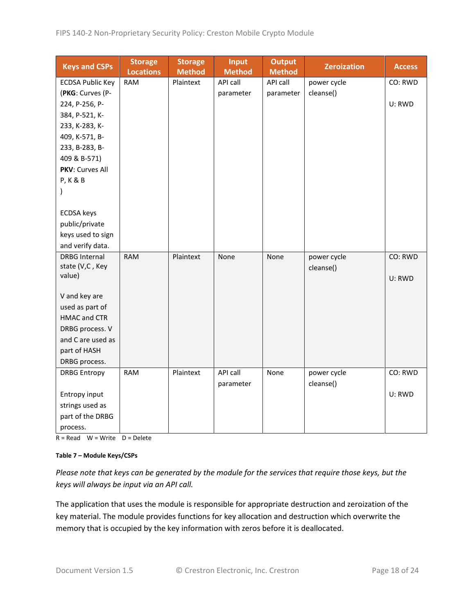| <b>Keys and CSPs</b>    | <b>Storage</b><br><b>Locations</b> | <b>Storage</b><br><b>Method</b> | Input<br><b>Method</b> | <b>Output</b><br><b>Method</b> | <b>Zeroization</b> | <b>Access</b> |
|-------------------------|------------------------------------|---------------------------------|------------------------|--------------------------------|--------------------|---------------|
| <b>ECDSA Public Key</b> | <b>RAM</b>                         | Plaintext                       | API call               | API call                       | power cycle        | CO: RWD       |
| (PKG: Curves (P-        |                                    |                                 | parameter              | parameter                      | cleanse()          |               |
| 224, P-256, P-          |                                    |                                 |                        |                                |                    | U: RWD        |
| 384, P-521, K-          |                                    |                                 |                        |                                |                    |               |
| 233, K-283, K-          |                                    |                                 |                        |                                |                    |               |
| 409, K-571, B-          |                                    |                                 |                        |                                |                    |               |
| 233, B-283, B-          |                                    |                                 |                        |                                |                    |               |
| 409 & B-571)            |                                    |                                 |                        |                                |                    |               |
| PKV: Curves All         |                                    |                                 |                        |                                |                    |               |
| <b>P, K &amp; B</b>     |                                    |                                 |                        |                                |                    |               |
| )                       |                                    |                                 |                        |                                |                    |               |
|                         |                                    |                                 |                        |                                |                    |               |
| <b>ECDSA</b> keys       |                                    |                                 |                        |                                |                    |               |
| public/private          |                                    |                                 |                        |                                |                    |               |
| keys used to sign       |                                    |                                 |                        |                                |                    |               |
| and verify data.        |                                    |                                 |                        |                                |                    |               |
| <b>DRBG Internal</b>    | <b>RAM</b>                         | Plaintext                       | None                   | None                           | power cycle        | CO: RWD       |
| state (V,C, Key         |                                    |                                 |                        |                                | cleanse()          |               |
| value)                  |                                    |                                 |                        |                                |                    | U: RWD        |
| V and key are           |                                    |                                 |                        |                                |                    |               |
| used as part of         |                                    |                                 |                        |                                |                    |               |
| <b>HMAC and CTR</b>     |                                    |                                 |                        |                                |                    |               |
| DRBG process. V         |                                    |                                 |                        |                                |                    |               |
| and C are used as       |                                    |                                 |                        |                                |                    |               |
| part of HASH            |                                    |                                 |                        |                                |                    |               |
| DRBG process.           |                                    |                                 |                        |                                |                    |               |
| <b>DRBG Entropy</b>     | <b>RAM</b>                         | Plaintext                       | API call               | None                           | power cycle        | CO: RWD       |
|                         |                                    |                                 | parameter              |                                | cleanse()          |               |
| Entropy input           |                                    |                                 |                        |                                |                    | U: RWD        |
| strings used as         |                                    |                                 |                        |                                |                    |               |
| part of the DRBG        |                                    |                                 |                        |                                |                    |               |
|                         |                                    |                                 |                        |                                |                    |               |
| process.                |                                    |                                 |                        |                                |                    |               |

 $R = Read$  W = Write D = Delete

#### **Table 7 – Module Keys/CSPs**

*Please note that keys can be generated by the module for the services that require those keys, but the keys will always be input via an API call.*

The application that uses the module is responsible for appropriate destruction and zeroization of the key material. The module provides functions for key allocation and destruction which overwrite the memory that is occupied by the key information with zeros before it is deallocated.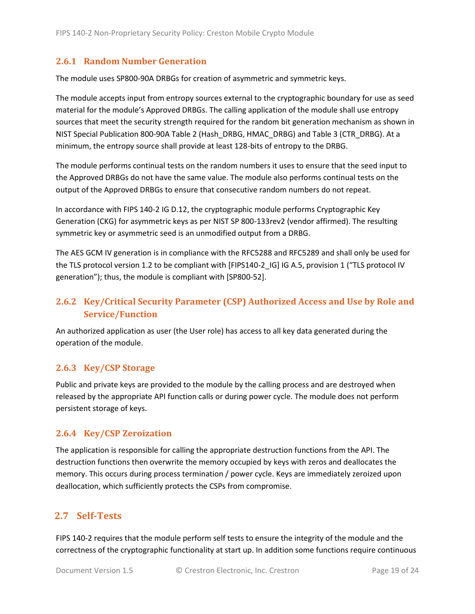### <span id="page-18-0"></span>**2.6.1 Random Number Generation**

The module uses SP800-90A DRBGs for creation of asymmetric and symmetric keys.

The module accepts input from entropy sources external to the cryptographic boundary for use as seed material for the module's Approved DRBGs. The calling application of the module shall use entropy sources that meet the security strength required for the random bit generation mechanism as shown in NIST Special Publication 800-90A Table 2 (Hash\_DRBG, HMAC\_DRBG) and Table 3 (CTR\_DRBG). At a minimum, the entropy source shall provide at least 128-bits of entropy to the DRBG.

The module performs continual tests on the random numbers it uses to ensure that the seed input to the Approved DRBGs do not have the same value. The module also performs continual tests on the output of the Approved DRBGs to ensure that consecutive random numbers do not repeat.

In accordance with FIPS 140-2 IG D.12, the cryptographic module performs Cryptographic Key Generation (CKG) for asymmetric keys as per NIST SP 800-133rev2 (vendor affirmed). The resulting symmetric key or asymmetric seed is an unmodified output from a DRBG.

The AES GCM IV generation is in compliance with the RFC5288 and RFC5289 and shall only be used for the TLS protocol version 1.2 to be compliant with [FIPS140-2 IG] IG A.5, provision 1 ("TLS protocol IV generation"); thus, the module is compliant with [SP800-52].

# <span id="page-18-1"></span>**2.6.2 Key/Critical Security Parameter (CSP) Authorized Access and Use by Role and Service/Function**

An authorized application as user (the User role) has access to all key data generated during the operation of the module.

### <span id="page-18-2"></span>**2.6.3 Key/CSP Storage**

Public and private keys are provided to the module by the calling process and are destroyed when released by the appropriate API function calls or during power cycle. The module does not perform persistent storage of keys.

### <span id="page-18-3"></span>**2.6.4 Key/CSP Zeroization**

The application is responsible for calling the appropriate destruction functions from the API. The destruction functions then overwrite the memory occupied by keys with zeros and deallocates the memory. This occurs during process termination / power cycle. Keys are immediately zeroized upon deallocation, which sufficiently protects the CSPs from compromise.

## <span id="page-18-4"></span>**2.7 Self-Tests**

FIPS 140-2 requires that the module perform self tests to ensure the integrity of the module and the correctness of the cryptographic functionality at start up. In addition some functions require continuous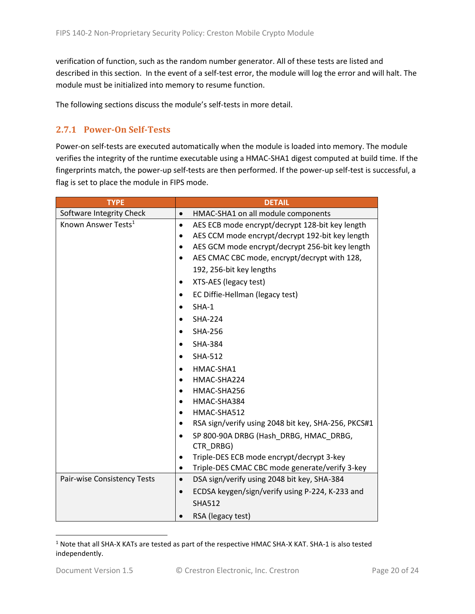verification of function, such as the random number generator. All of these tests are listed and described in this section. In the event of a self-test error, the module will log the error and will halt. The module must be initialized into memory to resume function.

The following sections discuss the module's self-tests in more detail.

# <span id="page-19-0"></span>**2.7.1 Power-On Self-Tests**

Power-on self-tests are executed automatically when the module is loaded into memory. The module verifies the integrity of the runtime executable using a HMAC-SHA1 digest computed at build time. If the fingerprints match, the power-up self-tests are then performed. If the power-up self-test is successful, a flag is set to place the module in FIPS mode.

| <b>TYPE</b>                     | <b>DETAIL</b>                                                |  |  |  |
|---------------------------------|--------------------------------------------------------------|--|--|--|
| Software Integrity Check        | HMAC-SHA1 on all module components<br>$\bullet$              |  |  |  |
| Known Answer Tests <sup>1</sup> | AES ECB mode encrypt/decrypt 128-bit key length<br>$\bullet$ |  |  |  |
|                                 | AES CCM mode encrypt/decrypt 192-bit key length<br>$\bullet$ |  |  |  |
|                                 | AES GCM mode encrypt/decrypt 256-bit key length              |  |  |  |
|                                 | AES CMAC CBC mode, encrypt/decrypt with 128,                 |  |  |  |
|                                 | 192, 256-bit key lengths                                     |  |  |  |
|                                 | XTS-AES (legacy test)                                        |  |  |  |
|                                 | EC Diffie-Hellman (legacy test)                              |  |  |  |
|                                 | $SHA-1$                                                      |  |  |  |
|                                 | <b>SHA-224</b>                                               |  |  |  |
|                                 | <b>SHA-256</b><br>$\bullet$                                  |  |  |  |
|                                 | <b>SHA-384</b>                                               |  |  |  |
|                                 | <b>SHA-512</b><br>$\bullet$                                  |  |  |  |
|                                 | HMAC-SHA1                                                    |  |  |  |
|                                 | HMAC-SHA224                                                  |  |  |  |
|                                 | HMAC-SHA256                                                  |  |  |  |
|                                 | HMAC-SHA384                                                  |  |  |  |
|                                 | HMAC-SHA512<br>$\bullet$                                     |  |  |  |
|                                 | RSA sign/verify using 2048 bit key, SHA-256, PKCS#1          |  |  |  |
|                                 | SP 800-90A DRBG (Hash DRBG, HMAC DRBG,<br>$\bullet$          |  |  |  |
|                                 | CTR DRBG)                                                    |  |  |  |
|                                 | Triple-DES ECB mode encrypt/decrypt 3-key<br>$\bullet$       |  |  |  |
|                                 | Triple-DES CMAC CBC mode generate/verify 3-key<br>٠          |  |  |  |
| Pair-wise Consistency Tests     | DSA sign/verify using 2048 bit key, SHA-384<br>$\bullet$     |  |  |  |
|                                 | ECDSA keygen/sign/verify using P-224, K-233 and<br>$\bullet$ |  |  |  |
|                                 | <b>SHA512</b>                                                |  |  |  |
|                                 | RSA (legacy test)                                            |  |  |  |

 $1$  Note that all SHA-X KATs are tested as part of the respective HMAC SHA-X KAT. SHA-1 is also tested independently.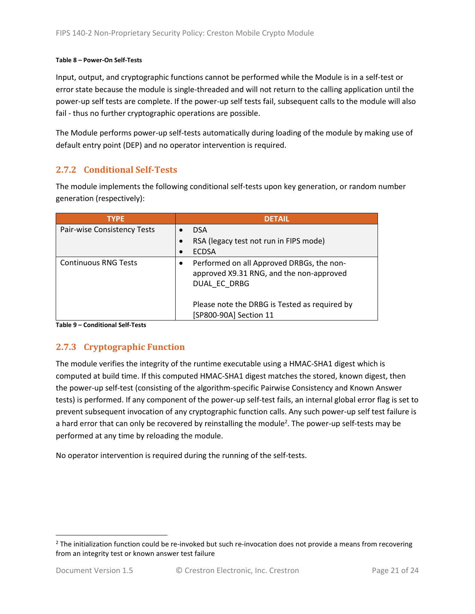#### **Table 8 – Power-On Self-Tests**

Input, output, and cryptographic functions cannot be performed while the Module is in a self-test or error state because the module is single-threaded and will not return to the calling application until the power-up self tests are complete. If the power-up self tests fail, subsequent calls to the module will also fail - thus no further cryptographic operations are possible.

The Module performs power-up self-tests automatically during loading of the module by making use of default entry point (DEP) and no operator intervention is required.

### <span id="page-20-0"></span>**2.7.2 Conditional Self-Tests**

The module implements the following conditional self-tests upon key generation, or random number generation (respectively):

| <b>TYPE</b>                 | <b>DFTAIL</b>                                                                                         |
|-----------------------------|-------------------------------------------------------------------------------------------------------|
| Pair-wise Consistency Tests | <b>DSA</b>                                                                                            |
|                             | RSA (legacy test not run in FIPS mode)                                                                |
|                             | <b>ECDSA</b>                                                                                          |
| <b>Continuous RNG Tests</b> | Performed on all Approved DRBGs, the non-<br>approved X9.31 RNG, and the non-approved<br>DUAL EC DRBG |
|                             | Please note the DRBG is Tested as required by<br>[SP800-90A] Section 11                               |

**Table 9 – Conditional Self-Tests**

## <span id="page-20-1"></span>**2.7.3 Cryptographic Function**

The module verifies the integrity of the runtime executable using a HMAC-SHA1 digest which is computed at build time. If this computed HMAC-SHA1 digest matches the stored, known digest, then the power-up self-test (consisting of the algorithm-specific Pairwise Consistency and Known Answer tests) is performed. If any component of the power-up self-test fails, an internal global error flag is set to prevent subsequent invocation of any cryptographic function calls. Any such power-up self test failure is a hard error that can only be recovered by reinstalling the module<sup>2</sup>. The power-up self-tests may be performed at any time by reloading the module.

No operator intervention is required during the running of the self-tests.

 $2$  The initialization function could be re-invoked but such re-invocation does not provide a means from recovering from an integrity test or known answer test failure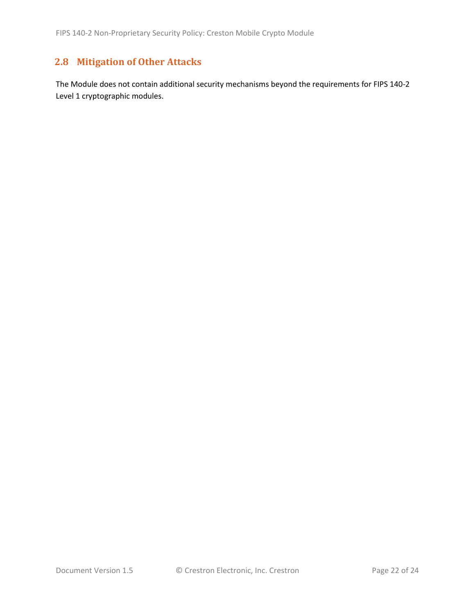# <span id="page-21-0"></span>**2.8 Mitigation of Other Attacks**

The Module does not contain additional security mechanisms beyond the requirements for FIPS 140-2 Level 1 cryptographic modules.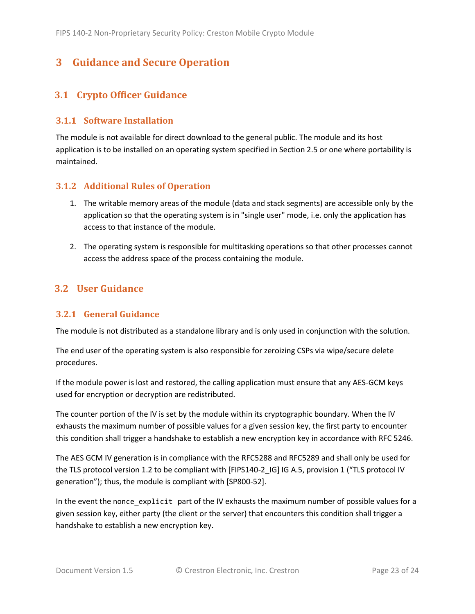# <span id="page-22-0"></span>**3 Guidance and Secure Operation**

## <span id="page-22-1"></span>**3.1 Crypto Officer Guidance**

#### <span id="page-22-2"></span>**3.1.1 Software Installation**

The module is not available for direct download to the general public. The module and its host application is to be installed on an operating system specified in Sectio[n 2.5](#page-14-0) or one where portability is maintained.

### <span id="page-22-3"></span>**3.1.2 Additional Rules of Operation**

- 1. The writable memory areas of the module (data and stack segments) are accessible only by the application so that the operating system is in "single user" mode, i.e. only the application has access to that instance of the module.
- 2. The operating system is responsible for multitasking operations so that other processes cannot access the address space of the process containing the module.

## <span id="page-22-4"></span>**3.2 User Guidance**

### <span id="page-22-5"></span>**3.2.1 General Guidance**

The module is not distributed as a standalone library and is only used in conjunction with the solution.

The end user of the operating system is also responsible for zeroizing CSPs via wipe/secure delete procedures.

If the module power is lost and restored, the calling application must ensure that any AES-GCM keys used for encryption or decryption are redistributed.

The counter portion of the IV is set by the module within its cryptographic boundary. When the IV exhausts the maximum number of possible values for a given session key, the first party to encounter this condition shall trigger a handshake to establish a new encryption key in accordance with RFC 5246.

The AES GCM IV generation is in compliance with the RFC5288 and RFC5289 and shall only be used for the TLS protocol version 1.2 to be compliant with [FIPS140-2 IG] IG A.5, provision 1 ("TLS protocol IV generation"); thus, the module is compliant with [SP800-52].

In the event the nonce\_explicit part of the IV exhausts the maximum number of possible values for a given session key, either party (the client or the server) that encounters this condition shall trigger a handshake to establish a new encryption key.